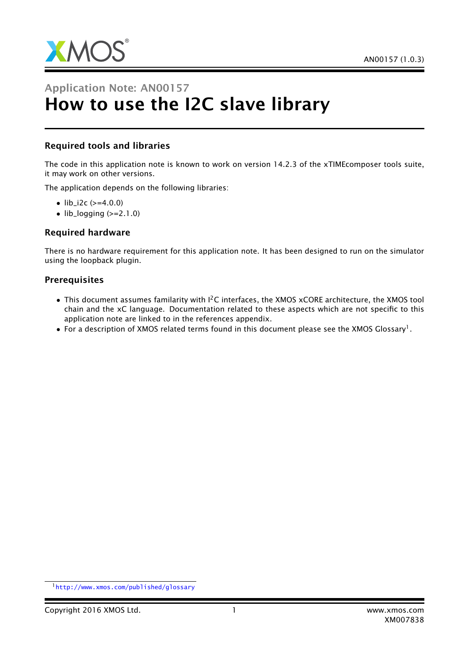

# Application Note: AN00157 How to use the I2C slave library

## Required tools and libraries

The code in this application note is known to work on version 14.2.3 of the xTIMEcomposer tools suite, it may work on other versions.

The application depends on the following libraries:

- $lib_i2c (=4.0.0)$
- $\bullet$  lib\_logging ( $>=$ 2.1.0)

#### Required hardware

There is no hardware requirement for this application note. It has been designed to run on the simulator using the loopback plugin.

#### Prerequisites

- This document assumes familarity with  $I^2C$  interfaces, the XMOS xCORE architecture, the XMOS tool chain and the xC language. Documentation related to these aspects which are not specific to this application note are linked to in the references appendix.
- $\bullet$  For a description of XMOS related terms found in this document please see the XMOS Glossary<sup>1</sup>.

<sup>1</sup><http://www.xmos.com/published/glossary>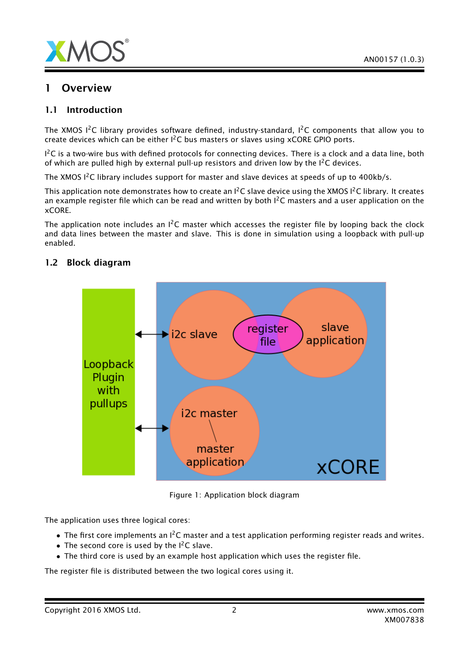

# **Overview**

#### 1.1 Introduction

The XMOS I<sup>2</sup>C library provides software defined, industry-standard, I<sup>2</sup>C components that allow you to create devices which can be either  $I^2C$  bus masters or slaves using xCORE GPIO ports.

 $1^2$ C is a two-wire bus with defined protocols for connecting devices. There is a clock and a data line, both of which are pulled high by external pull-up resistors and driven low by the  $I^2C$  devices.

The XMOS  $1^2C$  library includes support for master and slave devices at speeds of up to 400kb/s.

This application note demonstrates how to create an  $1^2C$  slave device using the XMOS  $1^2C$  library. It creates an example register file which can be read and written by both  $I^2C$  masters and a user application on the xCORE.

The application note includes an  $I^2C$  master which accesses the register file by looping back the clock and data lines between the master and slave. This is done in simulation using a loopback with pull-up enabled.



## 1.2 Block diagram

Figure 1: Application block diagram

The application uses three logical cores:

- The first core implements an  $l^2C$  master and a test application performing register reads and writes.
- The second core is used by the  $I^2C$  slave.
- The third core is used by an example host application which uses the register file.

The register file is distributed between the two logical cores using it.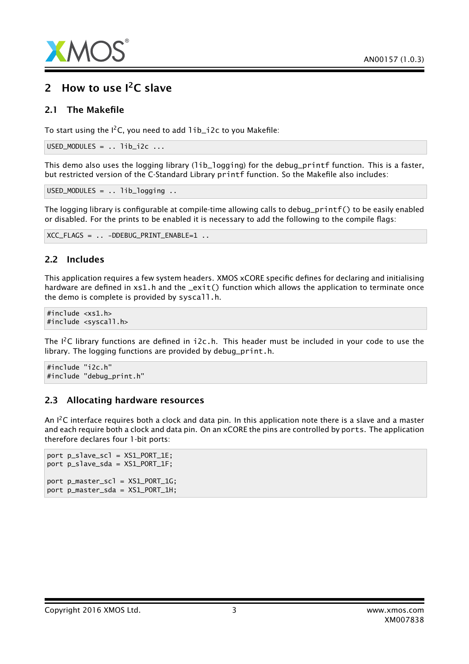

# 2 How to use  $I^2C$  slave

#### 2.1 The Makefile

To start using the  $I^2C$ , you need to add  $I$ ib\_i2c to you Makefile:

```
USED_MODULES = \cdot \cdot lib_i2c \cdot \cdot \cdot
```
This demo also uses the logging library (1ib\_1ogging) for the debug\_printf function. This is a faster, but restricted version of the C-Standard Library printf function. So the Makefile also includes:

USED\_MODULES = .. lib\_logging ..

The logging library is configurable at compile-time allowing calls to debug\_printf() to be easily enabled or disabled. For the prints to be enabled it is necessary to add the following to the compile flags:

```
XCC FLAGS = .. -DDEBUG PRINT ENABLE=1 ..
```
#### 2.2 Includes

This application requires a few system headers. XMOS xCORE specific defines for declaring and initialising hardware are defined in  $x \le 1$ . h and the  $\text{exit}()$  function which allows the application to terminate once the demo is complete is provided by syscall.h.

```
#include <xs1.h>
#include <syscall.h>
```
The I<sup>2</sup>C library functions are defined in  $i2c.h$ . This header must be included in your code to use the library. The logging functions are provided by debug\_print.h.

#include "i2c.h" #include "debug\_print.h"

#### 2.3 Allocating hardware resources

An  $I^2C$  interface requires both a clock and data pin. In this application note there is a slave and a master and each require both a clock and data pin. On an xCORE the pins are controlled by ports. The application therefore declares four 1-bit ports:

```
port p_slave_scl = XS1_PORT_1E;
port p_slave_sda = XS1_PORT_1F;
port p_master_scl = XS1_PORT_1G;
port p_master_sda = XS1_PORT_1H;
```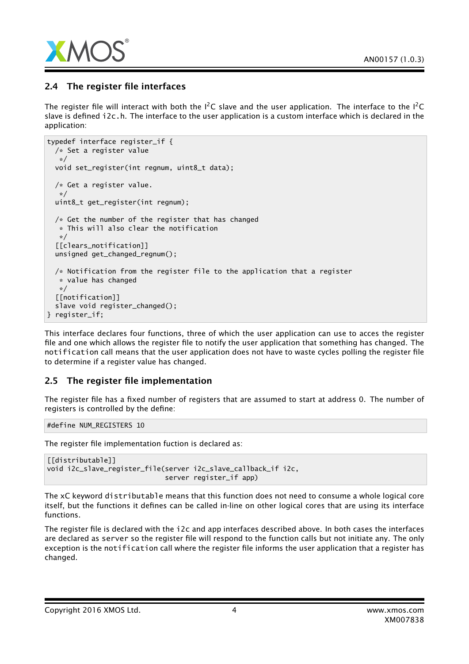

## 2.4 The register file interfaces

The register file will interact with both the  $I^2C$  slave and the user application. The interface to the  $I^2C$ slave is defined i2c.h. The interface to the user application is a custom interface which is declared in the application:

```
typedef interface register_if {
 /* Set a register value
  */
  void set_register(int regnum, uint8_t data);
 /* Get a register value.
   */
  uint8_t get_register(int regnum);
 /* Get the number of the register that has changed
  * This will also clear the notification
  */
  [[clears_notification]]
 unsigned get_changed_regnum();
 /* Notification from the register file to the application that a register
  * value has changed
  */
 [[notification]]
 slave void register_changed();
} register_if;
```
This interface declares four functions, three of which the user application can use to acces the register file and one which allows the register file to notify the user application that something has changed. The notification call means that the user application does not have to waste cycles polling the register file to determine if a register value has changed.

## 2.5 The register file implementation

The register file has a fixed number of registers that are assumed to start at address 0. The number of registers is controlled by the define:

#define NUM\_REGISTERS 10

The register file implementation fuction is declared as:

```
[[distributable]]
void i2c_slave_register_file(server i2c_slave_callback_if i2c,
                             server register_if app)
```
The xC keyword distributable means that this function does not need to consume a whole logical core itself, but the functions it defines can be called in-line on other logical cores that are using its interface functions.

The register file is declared with the i2c and app interfaces described above. In both cases the interfaces are declared as server so the register file will respond to the function calls but not initiate any. The only exception is the notification call where the register file informs the user application that a register has changed.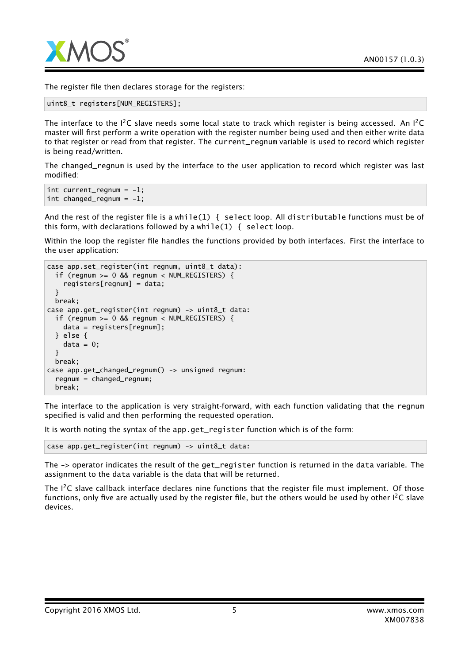

The register file then declares storage for the registers:

```
uint8_t registers[NUM_REGISTERS];
```
The interface to the  $I^2C$  slave needs some local state to track which register is being accessed. An  $I^2C$ master will first perform a write operation with the register number being used and then either write data to that register or read from that register. The current\_regnum variable is used to record which register is being read/written.

The changed\_regnum is used by the interface to the user application to record which register was last modified:

```
int current_regnum = -1;
int changed_regnum = -1;
```
And the rest of the register file is a while(1) { select loop. All distributable functions must be of this form, with declarations followed by a while(1)  $\{$  select loop.

Within the loop the register file handles the functions provided by both interfaces. First the interface to the user application:

```
case app.set_register(int regnum, uint8_t data):
 if (regnum >= 0 && regnum < NUM_REGISTERS) {
    registers[regnum] = data;
 }
 break;
case app.get_register(int regnum) -> uint8_t data:
 if (regnum >= 0 && regnum < NUM_REGISTERS) {
   data = registers[regnum];
 } else {
   data = 0;}
 break;
case app.get_changed_regnum() -> unsigned regnum:
 regnum = changed_regnum;
 break;
```
The interface to the application is very straight-forward, with each function validating that the regnum specified is valid and then performing the requested operation.

It is worth noting the syntax of the app.get register function which is of the form:

case app.get\_register(int regnum) -> uint8\_t data:

The -> operator indicates the result of the get\_register function is returned in the data variable. The assignment to the data variable is the data that will be returned.

The I<sup>2</sup>C slave callback interface declares nine functions that the register file must implement. Of those functions, only five are actually used by the register file, but the others would be used by other  $I^2C$  slave devices.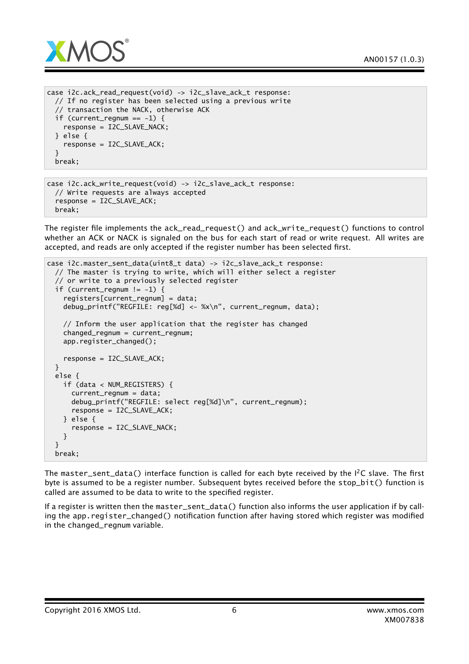

```
case i2c.ack_read_request(void) -> i2c_slave_ack_t response:
 // If no register has been selected using a previous write
    // transaction the NACK, otherwise ACK
 if (current_regnum == -1) {
    response = I2C_SLAVE_NACK;
 } else {
    response = I2C_SLAVE_ACK;
 }
 break;
```

```
case i2c.ack_write_request(void) -> i2c_slave_ack_t response:
 // Write requests are always accepted
  response = I2C_SLAVE_ACK;
 break;
```
The register file implements the ack\_read\_request() and ack\_write\_request() functions to control whether an ACK or NACK is signaled on the bus for each start of read or write request. All writes are accepted, and reads are only accepted if the register number has been selected first.

```
case i2c.master_sent_data(uint8_t data) -> i2c_slave_ack_t response:
 // The master is trying to write, which will either select a register
 // or write to a previously selected register
 if (current_regnum != -1) {
   registers[current_regnum] = data;
   debug_printf("REGFILE: reg[%d] <- %x\n", current_regnum, data);
   // Inform the user application that the register has changed
   changed_regnum = current_regnum;
   app.register_changed();
   response = I2C_SLAVE_ACK;
 }
 else {
   if (data < NUM_REGISTERS) {
      current_regnum = data;
      debug_printf("REGFILE: select reg[%d]\n", current_regnum);
      response = I2C_SLAVE_ACK;
   } else {
      response = I2C_SLAVE_NACK;
   }
  }
 break;
```
The master sent data() interface function is called for each byte received by the I<sup>2</sup>C slave. The first byte is assumed to be a register number. Subsequent bytes received before the stop  $bit()$  function is called are assumed to be data to write to the specified register.

If a register is written then the master\_sent\_data() function also informs the user application if by calling the app.register\_changed() notification function after having stored which register was modified in the changed\_regnum variable.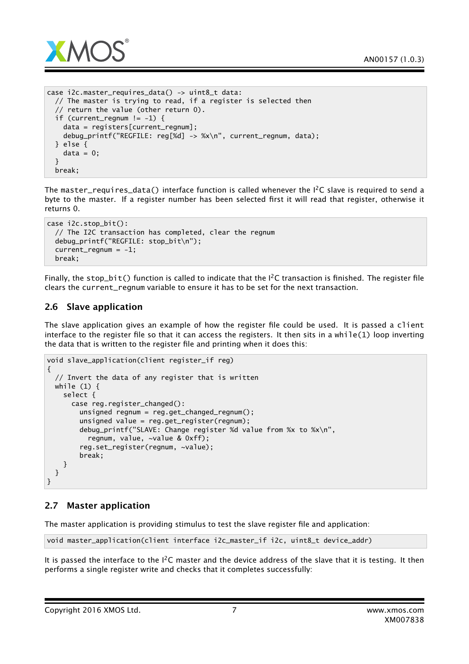

```
case i2c.master_requires_data() -> uint8_t data:
 // The master is trying to read, if a register is selected then
  // return the value (other return 0).
 if (current_regnum != -1) {
   data = registers[current_regnum];
   debug_printf("REGFILE: reg[%d] -> %x\n", current_regnum, data);
 } else {
   data = 0;}
 break;
```
The master\_requires\_data() interface function is called whenever the  $I^2C$  slave is required to send a byte to the master. If a register number has been selected first it will read that register, otherwise it returns 0.

```
case i2c.stop_bit():
 // The I2C transaction has completed, clear the regnum
 debug_printf("REGFILE: stop_bit\n");
 current_reqnum = -1;break;
```
Finally, the stop\_bit() function is called to indicate that the  $I^2C$  transaction is finished. The register file clears the current\_regnum variable to ensure it has to be set for the next transaction.

## 2.6 Slave application

The slave application gives an example of how the register file could be used. It is passed a client interface to the register file so that it can access the registers. It then sits in a while(1) loop inverting the data that is written to the register file and printing when it does this:

```
void slave_application(client register_if reg)
{
 // Invert the data of any register that is written
 while (1) {
    select {
      case reg.register_changed():
        unsigned regnum = reg.get_changed_regnum();
        unsigned value = reg.get_register(regnum);
        debug_printf("SLAVE: Change register %d value from %x to %x\n",
          regnum, value, ~value & 0xff);
        reg.set_register(regnum, ~value);
        break;
    }
 }
}
```
# 2.7 Master application

The master application is providing stimulus to test the slave register file and application:

```
void master_application(client interface i2c_master_if i2c, uint8_t device_addr)
```
It is passed the interface to the  $I^2C$  master and the device address of the slave that it is testing. It then performs a single register write and checks that it completes successfully: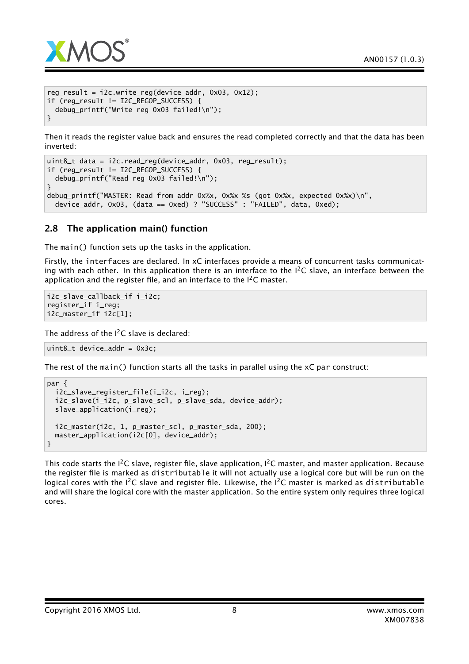

```
reg_result = i2c.write_reg(device_addr, 0x03, 0x12);
if (reg_result != I2C_REGOP_SUCCESS) {
 debug_printf("Write reg 0x03 failed!\n");
}
```
Then it reads the register value back and ensures the read completed correctly and that the data has been inverted:

```
uint8_t data = i2c.read_reg(device_addr, 0x03, reg_result);
if (reg_result != I2C_REGOP_SUCCESS) {
 debug_printf("Read reg 0x03 failed!\n");
}
debug_printf("MASTER: Read from addr 0x%x, 0x%x %s (got 0x%x, expected 0x%x)\n",
 device_addr, 0x03, (data == 0xed) ? "SUCCESS" : "FAILED", data, 0xed);
```
## 2.8 The application main() function

The main() function sets up the tasks in the application.

Firstly, the interfaces are declared. In xC interfaces provide a means of concurrent tasks communicating with each other. In this application there is an interface to the  $1^2C$  slave, an interface between the application and the register file, and an interface to the  $I^2C$  master.

```
i2c_slave_callback_if i_i2c;
register_if i_reg;
i2c_master_if i2c[1];
```
The address of the  $I^2C$  slave is declared:

uint8 t device addr =  $0x3c$ ;

The rest of the main() function starts all the tasks in parallel using the xC par construct:

```
par {
 i2c_slave_register_file(i_i2c, i_reg);
 i2c_slave(i_i2c, p_slave_scl, p_slave_sda, device_addr);
 slave_application(i_reg);
 i2c_master(i2c, 1, p_master_scl, p_master_sda, 200);
 master_application(i2c[0], device_addr);
}
```
This code starts the I<sup>2</sup>C slave, register file, slave application, I<sup>2</sup>C master, and master application. Because the register file is marked as distributable it will not actually use a logical core but will be run on the logical cores with the  $I^2C$  slave and register file. Likewise, the  $I^2C$  master is marked as distributable and will share the logical core with the master application. So the entire system only requires three logical cores.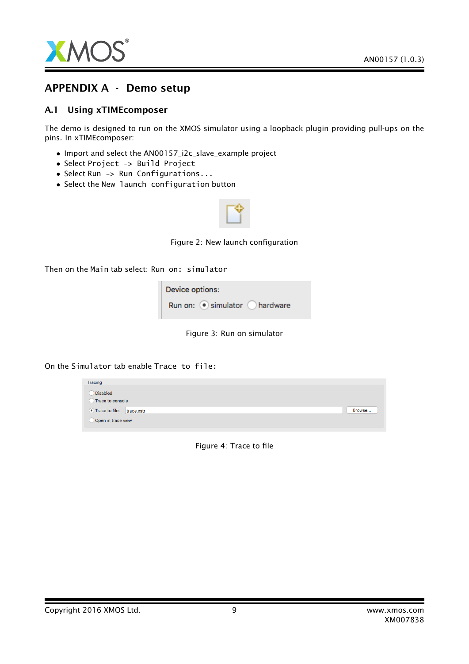

# APPENDIX A - Demo setup

#### A.1 Using xTIMEcomposer

The demo is designed to run on the XMOS simulator using a loopback plugin providing pull-ups on the pins. In xTIMEcomposer:

- Import and select the AN00157\_i2c\_slave\_example project
- Select Project -> Build Project
- Select Run -> Run Configurations...
- Select the New launch configuration button



Figure 2: New launch configuration

Then on the Main tab select: Run on: simulator

| Device options: |                            |  |  |  |  |
|-----------------|----------------------------|--|--|--|--|
|                 | Run on: simulator hardware |  |  |  |  |

Figure 3: Run on simulator

On the Simulator tab enable Trace to file:

| Tracing                     |        |
|-----------------------------|--------|
| Disabled                    |        |
| Trace to console            |        |
| • Trace to file: trace.xstr | Browse |
| Open in trace view          |        |
|                             |        |

Figure 4: Trace to file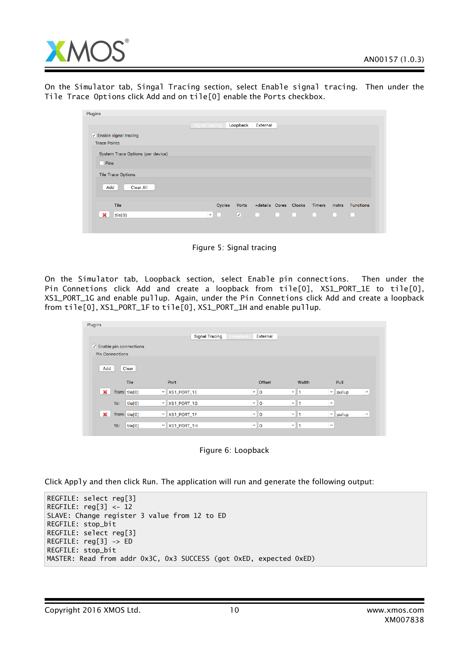

On the Simulator tab, Singal Tracing section, select Enable signal tracing. Then under the Tile Trace Options click Add and on tile[0] enable the Ports checkbox.

| Plugins                           |                       |               |                         |          |                              |        |                  |
|-----------------------------------|-----------------------|---------------|-------------------------|----------|------------------------------|--------|------------------|
|                                   | <b>Signal Tracing</b> |               | Loopback                | External |                              |        |                  |
| $\vee$ Enable signal tracing      |                       |               |                         |          |                              |        |                  |
| <b>Trace Points</b>               |                       |               |                         |          |                              |        |                  |
| System Trace Options (per device) |                       |               |                         |          |                              |        |                  |
| Pins                              |                       |               |                         |          |                              |        |                  |
| <b>Tile Trace Options</b>         |                       |               |                         |          |                              |        |                  |
| Add<br><b>Clear All</b>           |                       |               |                         |          |                              |        |                  |
| Tile                              |                       | Cycles        | Ports                   |          | +details Cores Clocks Timers | Instrs | <b>Functions</b> |
| $\mathbf x$<br>tile[0]            |                       | $\vee$ $\Box$ | $\overline{\mathbf{v}}$ |          |                              |        |                  |
|                                   |                       |               |                         |          |                              |        |                  |

Figure 5: Signal tracing

On the Simulator tab, Loopback section, select Enable pin connections. Then under the Pin Connetions click Add and create a loopback from tile[0], XS1\_PORT\_1E to tile[0], XS1\_PORT\_1G and enable pullup. Again, under the Pin Connetions click Add and create a loopback from tile[0], XS1\_PORT\_1F to tile[0], XS1\_PORT\_1H and enable pullup.

|                               | <b>Signal Tracing</b> | External<br>Loopback |          |               |              |
|-------------------------------|-----------------------|----------------------|----------|---------------|--------------|
| $\vee$ Enable pin connections |                       |                      |          |               |              |
| <b>Pin Connections</b>        |                       |                      |          |               |              |
|                               |                       |                      |          |               |              |
| Add<br>Clear                  |                       |                      |          |               |              |
|                               |                       |                      |          |               |              |
|                               |                       |                      |          |               |              |
| Tile                          | Port                  | <b>Offset</b>        | Width    | Pull          |              |
| $\mathbf{x}$<br>from: tile[0] | $\vee$ XS1_PORT_1E    | $\vee$ 0             | $\vee$ 1 | $\vee$ pullup | $\checkmark$ |
| tile[0]<br>to:                | $\vee$ XS1_PORT_1G    | $\vee$ 0             | $\vee$   | $\checkmark$  |              |
| $\mathbf x$<br>from: tile[0]  | $\vee$ XS1_PORT_1F    | $\vee$ 0             | $\vee$ 1 | $\sim$ pullup | $\checkmark$ |



Click Apply and then click Run. The application will run and generate the following output:

```
REGFILE: select reg[3]
REGFILE: reg[3] <- 12
SLAVE: Change register 3 value from 12 to ED
REGFILE: stop_bit
REGFILE: select reg[3]
REGFILE: reg[3] -> ED
REGFILE: stop_bit
MASTER: Read from addr 0x3C, 0x3 SUCCESS (got 0xED, expected 0xED)
```
Copyright 2016 XMOS Ltd. 10 and 10 www.xmos.com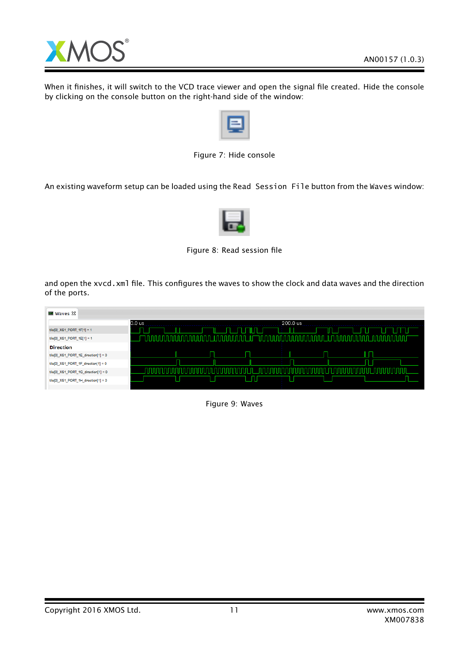

When it finishes, it will switch to the VCD trace viewer and open the signal file created. Hide the console by clicking on the console button on the right-hand side of the window:

Figure 7: Hide console

An existing waveform setup can be loaded using the Read Session File button from the Waves window:



Figure 8: Read session file

and open the xvcd.xml file. This configures the waves to show the clock and data waves and the direction of the ports.

| ■ Waves ⊠                              |                    |
|----------------------------------------|--------------------|
|                                        | 0.0 us<br>200.0 us |
| $tile[0]$ XS1 PORT 1F[1] = 1           |                    |
| tile[0]_XS1_PORT_1E[1] = 1             |                    |
| <b>Direction</b>                       |                    |
| tile[0]_XS1_PORT_1E_direction[1] = 0   |                    |
| $tile[0]$ XS1_PORT_1F_direction[1] = 0 |                    |
| tile[0]_XS1_PORT_1G_direction[1] = 0   |                    |
| tile[0]_XS1_PORT_1H_direction[1] = 0   |                    |
|                                        |                    |

Figure 9: Waves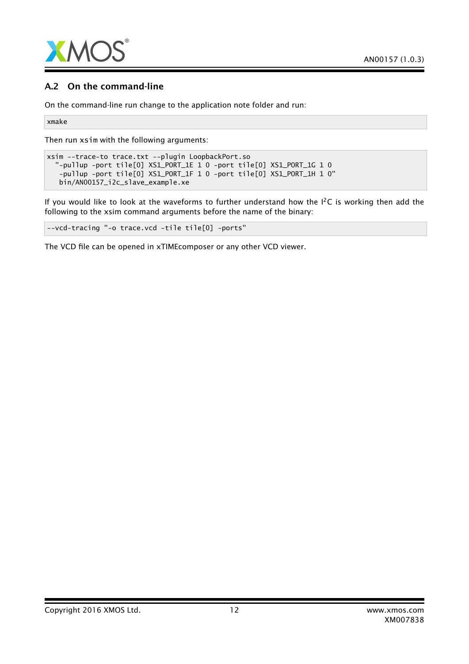

## A.2 On the command-line

On the command-line run change to the application note folder and run:

xmake

Then run xsim with the following arguments:

```
xsim --trace-to trace.txt --plugin LoopbackPort.so
 "-pullup -port tile[0] XS1_PORT_1E 1 0 -port tile[0] XS1_PORT_1G 1 0
  -pullup -port tile[0] XS1_PORT_1F 1 0 -port tile[0] XS1_PORT_1H 1 0"
  bin/AN00157_i2c_slave_example.xe
```
If you would like to look at the waveforms to further understand how the  $I^2C$  is working then add the following to the xsim command arguments before the name of the binary:

--vcd-tracing "-o trace.vcd -tile tile[0] -ports"

The VCD file can be opened in xTIMEcomposer or any other VCD viewer.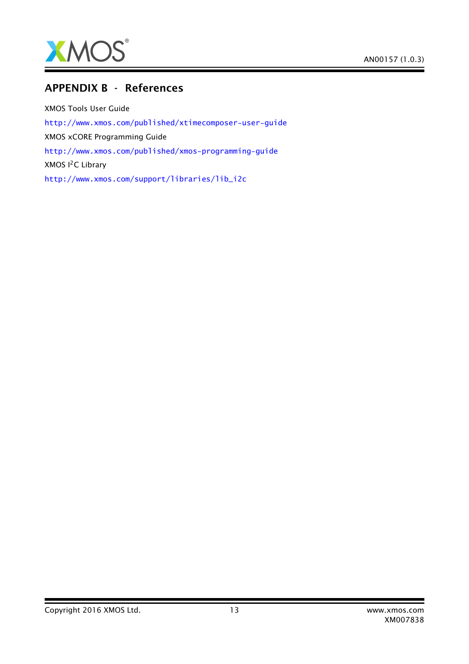

# APPENDIX B - References

XMOS Tools User Guide <http://www.xmos.com/published/xtimecomposer-user-guide> XMOS xCORE Programming Guide <http://www.xmos.com/published/xmos-programming-guide> XMOS I<sup>2</sup>C Library [http://www.xmos.com/support/libraries/lib\\_i2c](http://www.xmos.com/support/libraries/lib_i2c)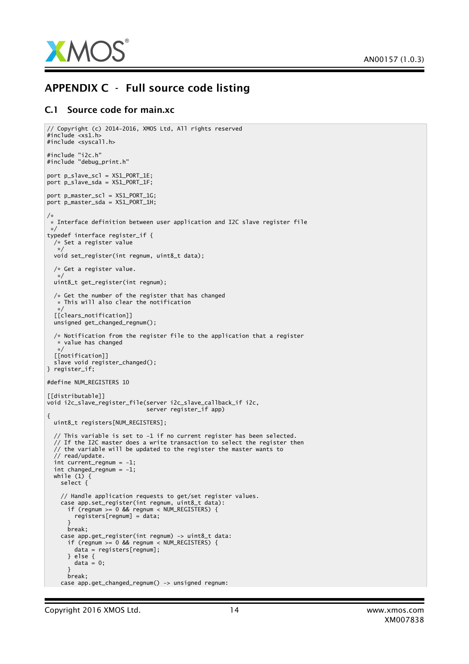

# APPENDIX C - Full source code listing

#### C.1 Source code for main.xc

```
// Copyright (c) 2014-2016, XMOS Ltd, All rights reserved
#include <xs1.h>
#include <syscall.h>
#include "i2c.h"
#include "debug_print.h"
port p_slave_scl = XS1_PORT_1E;
port p_slave_sda = XS1_PORT_1F;
port p_master_scl = XS1_PORT_1G;
port p_master_sda = XS1_PORT_1H;
/*
 \ast Interface definition between user application and I2C slave register file
*/
typedef interface register_if {
 /* Set a register value
  */
 void set_register(int regnum, uint8_t data);
 /* Get a register value.
  */
uint8_t get_register(int regnum);
 /* Get the number of the register that has changed
  * This will also clear the notification
  */
 [[clears_notification]]
 unsigned get_changed_regnum();
 /* Notification from the register file to the application that a register
  * value has changed
   */
 [[notification]]
 slave void register_changed();
} register_if;
#define NUM_REGISTERS 10
[[distributable]]
void i2c_slave_register_file(server i2c_slave_callback_if i2c,
                             server register_if app)
{
 uint8_t registers[NUM_REGISTERS];
  // This variable is set to -1 if no current register has been selected.
 // If the I2C master does a write transaction to select the register then
 \frac{1}{4} the variable will be updated to the register the master wants to
  // read/update.
 int current_regnum = -1;
 int changed_regnum = -1;
 while (1) {
   select {
    // Handle application requests to get/set register values.
    case app.set_register(int regnum, uint8_t data):
      if (regnum >= 0 && regnum < NUM_REGISTERS) {
        registers[regnum] = data;
      }
      break;
    case app.get_register(int regnum) -> uint8_t data:
      if (regnum >= 0 && regnum < NUM_REGISTERS) {
        data = registers[regnum];
      } else {
        data = 0:
      }
      break;
    case app.get_changed_regnum() -> unsigned regnum:
```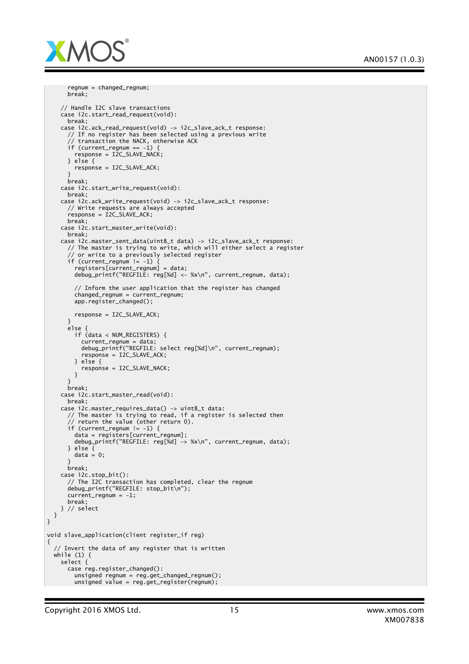

```
regnum = changed_regnum;
      break;
    // Handle I2C slave transactions
    case i2c.start_read_request(void):
      break;
    case i2c.ack_read_request(void) -> i2c_slave_ack_t response:
      // If no register has been selected using a previous write
      \sqrt{2} transaction the NACK, otherwise ACK
      if (current_regnum == -1) {
        response = I2C_SLAVE_NACK;
      } else {
       response = I2C_SLAVE_ACK;
      }
      break;
    case i2c.start_write_request(void):
     break;
    case i2c.ack_write_request(void) -> i2c_slave_ack_t response:
      // Write requests are always accepted
      response = I2C_SLAVE_ACK;break;
    case i2c.start_master_write(void):
      break;
    case i2c.master_sent_data(uint8_t data) -> i2c_slave_ack_t response:
      // The master is trying to write, which will either select a register
      // or write to a previously selected register
      if (current_regnum != -1) {
        registers[current_regnum] = data;
       debug_printf("REGFILE: reg[%d] <- %x\n", current_regnum, data);
        // Inform the user application that the register has changed
       changed_regnum = current_regnum;
       apo.readister changed():
       response = I2C_SLAVE_ACK;
      }
      else {
       if (data < NUM_REGISTERS) {
          current_regnum = data;
          debug_printf("REGFILE: select reg[%d]\n", current_regnum);
          response = I2C_SLAVE_ACK;
       } else {
         response = I2CSLAVE NACK;}
      }
      break;
    case i2c.start_master_read(void):
      break;
    case i2c.master_requires_data() -> uint8_t data:
      // The master is trying to read, if a register is selected then
      // return the value (other return 0).
      if (current_regnum != -1) {
       data = registers[current_regnum];
       debug_printf("REGFILE: reg[%d] -> %x\n", current_regnum, data);
      } else {
       data = 0;}
      break;
    case i2c.stop_bit():
      // The I2C transaction has completed, clear the regnum
      debug_printf("REGFILE: stop_bit\n");
      current\_regnum = -1;break;
    } // select
 }
void slave_application(client register_if reg)
  // Invert the data of any register that is written
 while (1) {
    select {
      case reg.register_changed():
       unsigned reqnum = reg.get{\_}change{\_}regunsigned value = reg.get\_register(regnum);
```
}

{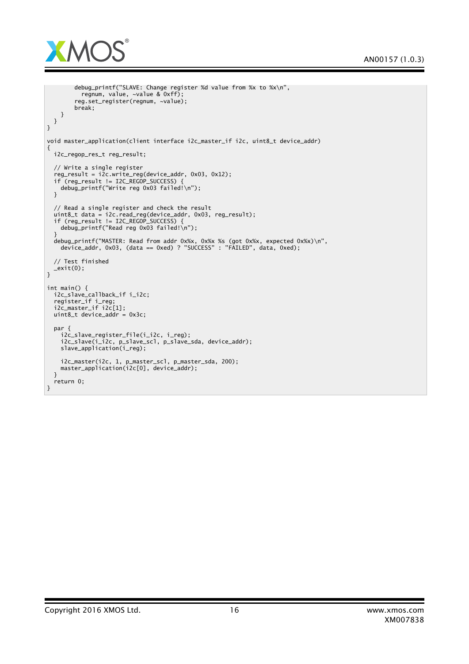

```
debug_printf("SLAVE: Change register %d value from %x to %x\n",
         regnum, value, ~value & 0xff);
        reg.set_register(regnum, ~value);
       break;
   }
 }
}
void master_application(client interface i2c_master_if i2c, uint8_t device_addr)
{
 i2c_regop_res_t reg_result;
 // Write a single register
 reg\_result = i2c.write\_reg(device\_addr, 0x03, 0x12);if (reg_result != I2C_REGOP_SUCCESS) {
   debug_printf("Write reg 0x03 failed!\n");
 }
 // Read a single register and check the result
  uint8_t data = i2c.read_reg(device_addr, 0x03, reg_result);
  if (reg_result != I2C_REGOP_SUCCESS) {
    debug_printf("Read reg 0x03 failed!\n");
  }
  debug_printf("MASTER: Read from addr 0x%x, 0x%x %s (got 0x%x, expected 0x%x)\n",
    device_addr, 0x03, (data == 0xed) ? "SUCCESS" : "FAILED", data, 0xed);
 // Test finished
 \_exit(0);}
int main() {
  i2c_slave_callback_if i_i2c;
  register_if i_reg;
  i2c_master_if i2c[1];
 uint8_tt device_addr = 0x3c;
  par {
    i2c_slave_register_file(i_i2c, i_reg);
    i2c_slave(i_i2c, p_slave_scl, p_slave_sda, device_addr);
    slave_application(i_reg);
    i2c_master(i2c, 1, p_master_scl, p_master_sda, 200);
    master_application(i2c[0], device_addr);
 }
 return 0;
}
```